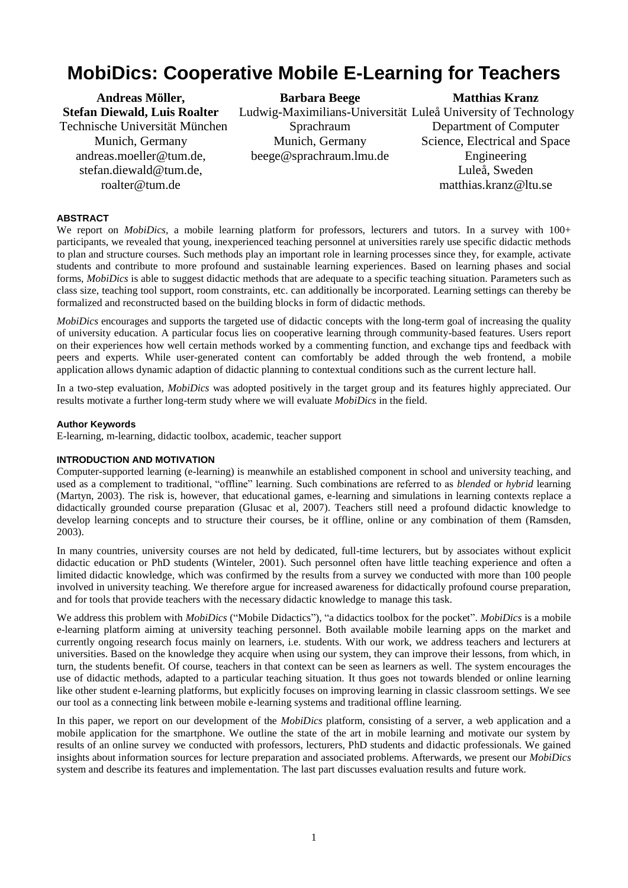# **MobiDics: Cooperative Mobile E-Learning for Teachers**

**Andreas Möller, Stefan Diewald, Luis Roalter** Technische Universität München Munich, Germany andreas.moeller@tum.de, stefan.diewald@tum.de, roalter@tum.de

**Barbara Beege** Ludwig-Maximilians-Universität Luleå University of Technology Sprachraum Munich, Germany beege@sprachraum.lmu.de

**Matthias Kranz**

Department of Computer Science, Electrical and Space Engineering Luleå, Sweden matthias.kranz@ltu.se

# **ABSTRACT**

We report on *MobiDics*, a mobile learning platform for professors, lecturers and tutors. In a survey with 100+ participants, we revealed that young, inexperienced teaching personnel at universities rarely use specific didactic methods to plan and structure courses. Such methods play an important role in learning processes since they, for example, activate students and contribute to more profound and sustainable learning experiences. Based on learning phases and social forms, *MobiDics* is able to suggest didactic methods that are adequate to a specific teaching situation. Parameters such as class size, teaching tool support, room constraints, etc. can additionally be incorporated. Learning settings can thereby be formalized and reconstructed based on the building blocks in form of didactic methods.

*MobiDics* encourages and supports the targeted use of didactic concepts with the long-term goal of increasing the quality of university education. A particular focus lies on cooperative learning through community-based features. Users report on their experiences how well certain methods worked by a commenting function, and exchange tips and feedback with peers and experts. While user-generated content can comfortably be added through the web frontend, a mobile application allows dynamic adaption of didactic planning to contextual conditions such as the current lecture hall.

In a two-step evaluation, *MobiDics* was adopted positively in the target group and its features highly appreciated. Our results motivate a further long-term study where we will evaluate *MobiDics* in the field.

## **Author Keywords**

E-learning, m-learning, didactic toolbox, academic, teacher support

## **INTRODUCTION AND MOTIVATION**

Computer-supported learning (e-learning) is meanwhile an established component in school and university teaching, and used as a complement to traditional, "offline" learning. Such combinations are referred to as *blended* or *hybrid* learning (Martyn, 2003). The risk is, however, that educational games, e-learning and simulations in learning contexts replace a didactically grounded course preparation (Glusac et al, 2007). Teachers still need a profound didactic knowledge to develop learning concepts and to structure their courses, be it offline, online or any combination of them (Ramsden, 2003).

In many countries, university courses are not held by dedicated, full-time lecturers, but by associates without explicit didactic education or PhD students (Winteler, 2001). Such personnel often have little teaching experience and often a limited didactic knowledge, which was confirmed by the results from a survey we conducted with more than 100 people involved in university teaching. We therefore argue for increased awareness for didactically profound course preparation, and for tools that provide teachers with the necessary didactic knowledge to manage this task.

We address this problem with *MobiDics* ("Mobile Didactics"), "a didactics toolbox for the pocket". *MobiDics* is a mobile e-learning platform aiming at university teaching personnel. Both available mobile learning apps on the market and currently ongoing research focus mainly on learners, i.e. students. With our work, we address teachers and lecturers at universities. Based on the knowledge they acquire when using our system, they can improve their lessons, from which, in turn, the students benefit. Of course, teachers in that context can be seen as learners as well. The system encourages the use of didactic methods, adapted to a particular teaching situation. It thus goes not towards blended or online learning like other student e-learning platforms, but explicitly focuses on improving learning in classic classroom settings. We see our tool as a connecting link between mobile e-learning systems and traditional offline learning.

In this paper, we report on our development of the *MobiDics* platform, consisting of a server, a web application and a mobile application for the smartphone. We outline the state of the art in mobile learning and motivate our system by results of an online survey we conducted with professors, lecturers, PhD students and didactic professionals. We gained insights about information sources for lecture preparation and associated problems. Afterwards, we present our *MobiDics* system and describe its features and implementation. The last part discusses evaluation results and future work.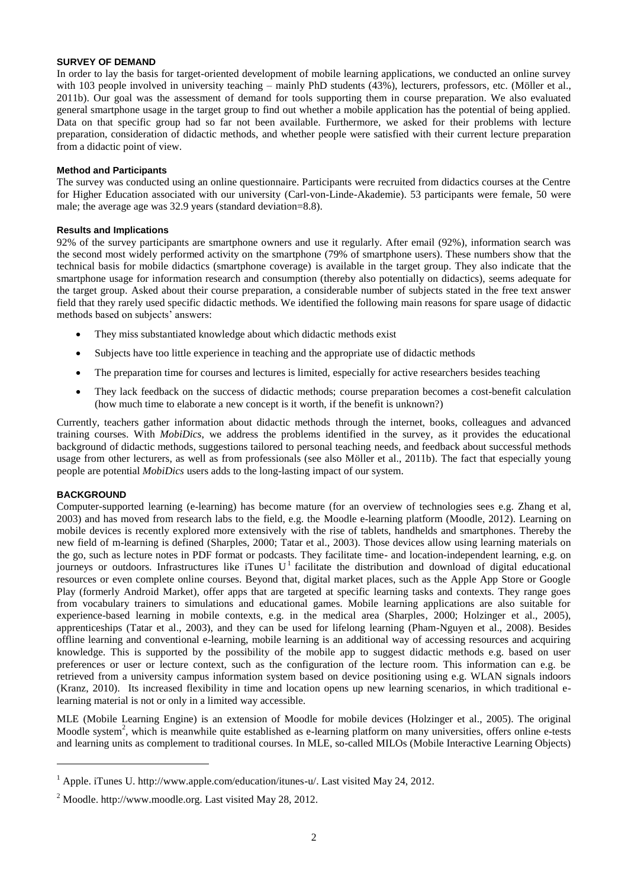## **SURVEY OF DEMAND**

In order to lay the basis for target-oriented development of mobile learning applications, we conducted an online survey with 103 people involved in university teaching – mainly PhD students (43%), lecturers, professors, etc. (Möller et al., 2011b). Our goal was the assessment of demand for tools supporting them in course preparation. We also evaluated general smartphone usage in the target group to find out whether a mobile application has the potential of being applied. Data on that specific group had so far not been available. Furthermore, we asked for their problems with lecture preparation, consideration of didactic methods, and whether people were satisfied with their current lecture preparation from a didactic point of view.

## **Method and Participants**

The survey was conducted using an online questionnaire. Participants were recruited from didactics courses at the Centre for Higher Education associated with our university (Carl-von-Linde-Akademie). 53 participants were female, 50 were male; the average age was 32.9 years (standard deviation=8.8).

## **Results and Implications**

92% of the survey participants are smartphone owners and use it regularly. After email (92%), information search was the second most widely performed activity on the smartphone (79% of smartphone users). These numbers show that the technical basis for mobile didactics (smartphone coverage) is available in the target group. They also indicate that the smartphone usage for information research and consumption (thereby also potentially on didactics), seems adequate for the target group. Asked about their course preparation, a considerable number of subjects stated in the free text answer field that they rarely used specific didactic methods. We identified the following main reasons for spare usage of didactic methods based on subjects' answers:

- They miss substantiated knowledge about which didactic methods exist
- Subjects have too little experience in teaching and the appropriate use of didactic methods
- The preparation time for courses and lectures is limited, especially for active researchers besides teaching
- They lack feedback on the success of didactic methods; course preparation becomes a cost-benefit calculation (how much time to elaborate a new concept is it worth, if the benefit is unknown?)

Currently, teachers gather information about didactic methods through the internet, books, colleagues and advanced training courses. With *MobiDics*, we address the problems identified in the survey, as it provides the educational background of didactic methods, suggestions tailored to personal teaching needs, and feedback about successful methods usage from other lecturers, as well as from professionals (see also Möller et al., 2011b). The fact that especially young people are potential *MobiDics* users adds to the long-lasting impact of our system.

## **BACKGROUND**

l

Computer-supported learning (e-learning) has become mature (for an overview of technologies sees e.g. Zhang et al, 2003) and has moved from research labs to the field, e.g. the Moodle e-learning platform (Moodle, 2012). Learning on mobile devices is recently explored more extensively with the rise of tablets, handhelds and smartphones. Thereby the new field of m-learning is defined (Sharples, 2000; Tatar et al., 2003). Those devices allow using learning materials on the go, such as lecture notes in PDF format or podcasts. They facilitate time- and location-independent learning, e.g. on journeys or outdoors. Infrastructures like iTunes  $U^1$  facilitate the distribution and download of digital educational resources or even complete online courses. Beyond that, digital market places, such as the Apple App Store or Google Play (formerly Android Market), offer apps that are targeted at specific learning tasks and contexts. They range goes from vocabulary trainers to simulations and educational games. Mobile learning applications are also suitable for experience-based learning in mobile contexts, e.g. in the medical area (Sharples, 2000; Holzinger et al., 2005), apprenticeships (Tatar et al., 2003), and they can be used for lifelong learning (Pham-Nguyen et al., 2008). Besides offline learning and conventional e-learning, mobile learning is an additional way of accessing resources and acquiring knowledge. This is supported by the possibility of the mobile app to suggest didactic methods e.g. based on user preferences or user or lecture context, such as the configuration of the lecture room. This information can e.g. be retrieved from a university campus information system based on device positioning using e.g. WLAN signals indoors (Kranz, 2010). Its increased flexibility in time and location opens up new learning scenarios, in which traditional elearning material is not or only in a limited way accessible.

MLE (Mobile Learning Engine) is an extension of Moodle for mobile devices (Holzinger et al., 2005). The original Moodle system<sup>2</sup>, which is meanwhile quite established as e-learning platform on many universities, offers online e-tests and learning units as complement to traditional courses. In MLE, so-called MILOs (Mobile Interactive Learning Objects)

<sup>&</sup>lt;sup>1</sup> Apple. iTunes U. http://www.apple.com/education/itunes-u/. Last visited May 24, 2012.

 $2^{2}$  Moodle. http://www.moodle.org. Last visited May 28, 2012.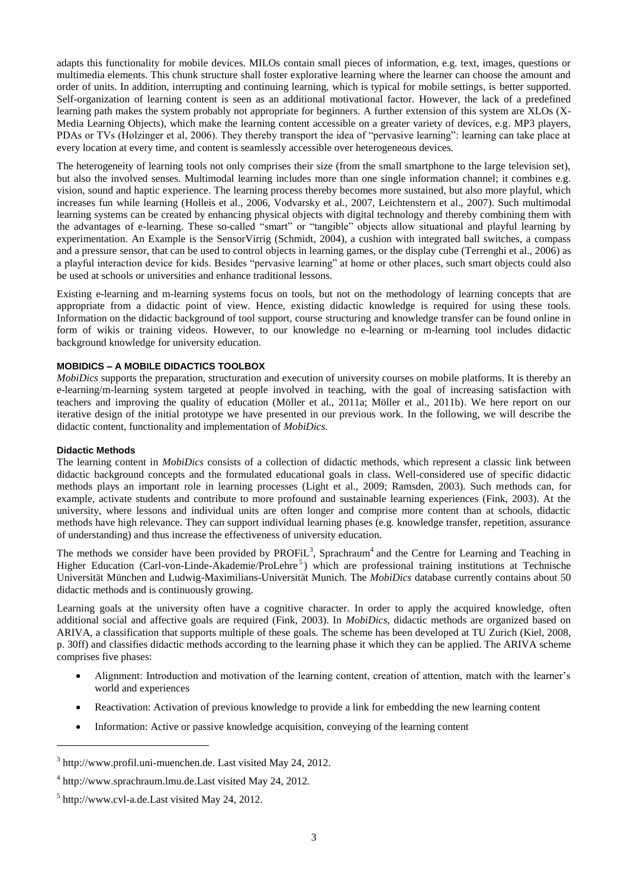adapts this functionality for mobile devices. MILOs contain small pieces of information, e.g. text, images, questions or multimedia elements. This chunk structure shall foster explorative learning where the learner can choose the amount and order of units. In addition, interrupting and continuing learning, which is typical for mobile settings, is better supported. Self-organization of learning content is seen as an additional motivational factor. However, the lack of a predefined learning path makes the system probably not appropriate for beginners. A further extension of this system are XLOs (X-Media Learning Objects), which make the learning content accessible on a greater variety of devices, e.g. MP3 players, PDAs or TVs (Holzinger et al, 2006). They thereby transport the idea of "pervasive learning": learning can take place at every location at every time, and content is seamlessly accessible over heterogeneous devices.

The heterogeneity of learning tools not only comprises their size (from the small smartphone to the large television set), but also the involved senses. Multimodal learning includes more than one single information channel; it combines e.g. vision, sound and haptic experience. The learning process thereby becomes more sustained, but also more playful, which increases fun while learning (Holleis et al., 2006, Vodvarsky et al., 2007, Leichtenstern et al., 2007). Such multimodal learning systems can be created by enhancing physical objects with digital technology and thereby combining them with the advantages of e-learning. These so-called "smart" or "tangible" objects allow situational and playful learning by experimentation. An Example is the SensorVirrig (Schmidt, 2004), a cushion with integrated ball switches, a compass and a pressure sensor, that can be used to control objects in learning games, or the display cube (Terrenghi et al., 2006) as a playful interaction device for kids. Besides "pervasive learning" at home or other places, such smart objects could also be used at schools or universities and enhance traditional lessons.

Existing e-learning and m-learning systems focus on tools, but not on the methodology of learning concepts that are appropriate from a didactic point of view. Hence, existing didactic knowledge is required for using these tools. Information on the didactic background of tool support, course structuring and knowledge transfer can be found online in form of wikis or training videos. However, to our knowledge no e-learning or m-learning tool includes didactic background knowledge for university education.

## **MOBIDICS – A MOBILE DIDACTICS TOOLBOX**

*MobiDics* supports the preparation, structuration and execution of university courses on mobile platforms. It is thereby an e-learning/m-learning system targeted at people involved in teaching, with the goal of increasing satisfaction with teachers and improving the quality of education (Möller et al., 2011a; Möller et al., 2011b). We here report on our iterative design of the initial prototype we have presented in our previous work. In the following, we will describe the didactic content, functionality and implementation of *MobiDics*.

#### **Didactic Methods**

l

The learning content in *MobiDics* consists of a collection of didactic methods, which represent a classic link between didactic background concepts and the formulated educational goals in class. Well-considered use of specific didactic methods plays an important role in learning processes (Light et al., 2009; Ramsden, 2003). Such methods can, for example, activate students and contribute to more profound and sustainable learning experiences (Fink, 2003). At the university, where lessons and individual units are often longer and comprise more content than at schools, didactic methods have high relevance. They can support individual learning phases (e.g. knowledge transfer, repetition, assurance of understanding) and thus increase the effectiveness of university education.

The methods we consider have been provided by  $PROFil^3$ , Sprachraum<sup>4</sup> and the Centre for Learning and Teaching in Higher Education (Carl-von-Linde-Akademie/ProLehre<sup>5</sup>) which are professional training institutions at Technische Universität München and Ludwig-Maximilians-Universität Munich. The *MobiDics* database currently contains about 50 didactic methods and is continuously growing.

Learning goals at the university often have a cognitive character. In order to apply the acquired knowledge, often additional social and affective goals are required (Fink, 2003). In *MobiDics*, didactic methods are organized based on ARIVA, a classification that supports multiple of these goals. The scheme has been developed at TU Zurich (Kiel, 2008, p. 30ff) and classifies didactic methods according to the learning phase it which they can be applied. The ARIVA scheme comprises five phases:

- Alignment: Introduction and motivation of the learning content, creation of attention, match with the learner's world and experiences
- Reactivation: Activation of previous knowledge to provide a link for embedding the new learning content
- Information: Active or passive knowledge acquisition, conveying of the learning content

 $3$  http://www.profil.uni-muenchen.de. Last visited May 24, 2012.

<sup>4</sup> http://www.sprachraum.lmu.de.Last visited May 24, 2012.

 $<sup>5</sup>$  http://www.cvl-a.de.Last visited May 24, 2012.</sup>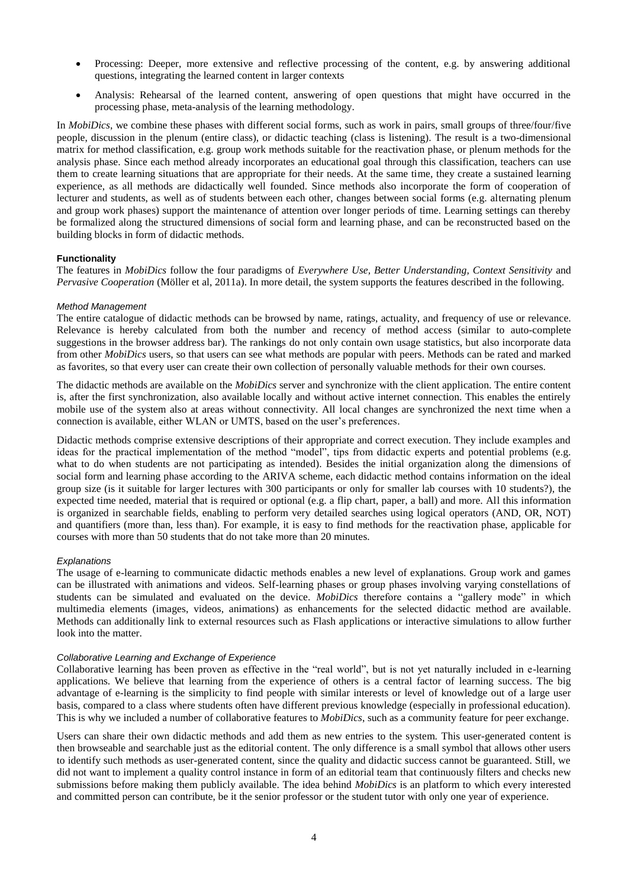- Processing: Deeper, more extensive and reflective processing of the content, e.g. by answering additional questions, integrating the learned content in larger contexts
- Analysis: Rehearsal of the learned content, answering of open questions that might have occurred in the processing phase, meta-analysis of the learning methodology.

In *MobiDics*, we combine these phases with different social forms, such as work in pairs, small groups of three/four/five people, discussion in the plenum (entire class), or didactic teaching (class is listening). The result is a two-dimensional matrix for method classification, e.g. group work methods suitable for the reactivation phase, or plenum methods for the analysis phase. Since each method already incorporates an educational goal through this classification, teachers can use them to create learning situations that are appropriate for their needs. At the same time, they create a sustained learning experience, as all methods are didactically well founded. Since methods also incorporate the form of cooperation of lecturer and students, as well as of students between each other, changes between social forms (e.g. alternating plenum and group work phases) support the maintenance of attention over longer periods of time. Learning settings can thereby be formalized along the structured dimensions of social form and learning phase, and can be reconstructed based on the building blocks in form of didactic methods.

## **Functionality**

The features in *MobiDics* follow the four paradigms of *Everywhere Use, Better Understanding, Context Sensitivity* and *Pervasive Cooperation* (Möller et al, 2011a). In more detail, the system supports the features described in the following.

#### *Method Management*

The entire catalogue of didactic methods can be browsed by name, ratings, actuality, and frequency of use or relevance. Relevance is hereby calculated from both the number and recency of method access (similar to auto-complete suggestions in the browser address bar). The rankings do not only contain own usage statistics, but also incorporate data from other *MobiDics* users, so that users can see what methods are popular with peers. Methods can be rated and marked as favorites, so that every user can create their own collection of personally valuable methods for their own courses.

The didactic methods are available on the *MobiDics* server and synchronize with the client application. The entire content is, after the first synchronization, also available locally and without active internet connection. This enables the entirely mobile use of the system also at areas without connectivity. All local changes are synchronized the next time when a connection is available, either WLAN or UMTS, based on the user's preferences.

Didactic methods comprise extensive descriptions of their appropriate and correct execution. They include examples and ideas for the practical implementation of the method "model", tips from didactic experts and potential problems (e.g. what to do when students are not participating as intended). Besides the initial organization along the dimensions of social form and learning phase according to the ARIVA scheme, each didactic method contains information on the ideal group size (is it suitable for larger lectures with 300 participants or only for smaller lab courses with 10 students?), the expected time needed, material that is required or optional (e.g. a flip chart, paper, a ball) and more. All this information is organized in searchable fields, enabling to perform very detailed searches using logical operators (AND, OR, NOT) and quantifiers (more than, less than). For example, it is easy to find methods for the reactivation phase, applicable for courses with more than 50 students that do not take more than 20 minutes.

#### *Explanations*

The usage of e-learning to communicate didactic methods enables a new level of explanations. Group work and games can be illustrated with animations and videos. Self-learning phases or group phases involving varying constellations of students can be simulated and evaluated on the device. *MobiDics* therefore contains a "gallery mode" in which multimedia elements (images, videos, animations) as enhancements for the selected didactic method are available. Methods can additionally link to external resources such as Flash applications or interactive simulations to allow further look into the matter.

## *Collaborative Learning and Exchange of Experience*

Collaborative learning has been proven as effective in the "real world", but is not yet naturally included in e-learning applications. We believe that learning from the experience of others is a central factor of learning success. The big advantage of e-learning is the simplicity to find people with similar interests or level of knowledge out of a large user basis, compared to a class where students often have different previous knowledge (especially in professional education). This is why we included a number of collaborative features to *MobiDics*, such as a community feature for peer exchange.

Users can share their own didactic methods and add them as new entries to the system. This user-generated content is then browseable and searchable just as the editorial content. The only difference is a small symbol that allows other users to identify such methods as user-generated content, since the quality and didactic success cannot be guaranteed. Still, we did not want to implement a quality control instance in form of an editorial team that continuously filters and checks new submissions before making them publicly available. The idea behind *MobiDics* is an platform to which every interested and committed person can contribute, be it the senior professor or the student tutor with only one year of experience.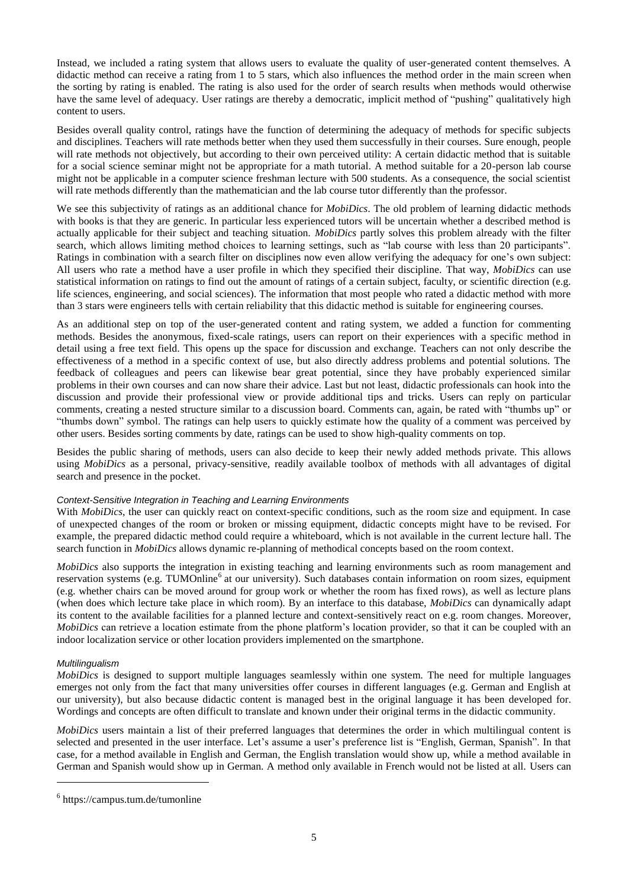Instead, we included a rating system that allows users to evaluate the quality of user-generated content themselves. A didactic method can receive a rating from 1 to 5 stars, which also influences the method order in the main screen when the sorting by rating is enabled. The rating is also used for the order of search results when methods would otherwise have the same level of adequacy. User ratings are thereby a democratic, implicit method of "pushing" qualitatively high content to users.

Besides overall quality control, ratings have the function of determining the adequacy of methods for specific subjects and disciplines. Teachers will rate methods better when they used them successfully in their courses. Sure enough, people will rate methods not objectively, but according to their own perceived utility: A certain didactic method that is suitable for a social science seminar might not be appropriate for a math tutorial. A method suitable for a 20-person lab course might not be applicable in a computer science freshman lecture with 500 students. As a consequence, the social scientist will rate methods differently than the mathematician and the lab course tutor differently than the professor.

We see this subjectivity of ratings as an additional chance for *MobiDics*. The old problem of learning didactic methods with books is that they are generic. In particular less experienced tutors will be uncertain whether a described method is actually applicable for their subject and teaching situation. *MobiDics* partly solves this problem already with the filter search, which allows limiting method choices to learning settings, such as "lab course with less than 20 participants". Ratings in combination with a search filter on disciplines now even allow verifying the adequacy for one's own subject: All users who rate a method have a user profile in which they specified their discipline. That way, *MobiDics* can use statistical information on ratings to find out the amount of ratings of a certain subject, faculty, or scientific direction (e.g. life sciences, engineering, and social sciences). The information that most people who rated a didactic method with more than 3 stars were engineers tells with certain reliability that this didactic method is suitable for engineering courses.

As an additional step on top of the user-generated content and rating system, we added a function for commenting methods. Besides the anonymous, fixed-scale ratings, users can report on their experiences with a specific method in detail using a free text field. This opens up the space for discussion and exchange. Teachers can not only describe the effectiveness of a method in a specific context of use, but also directly address problems and potential solutions. The feedback of colleagues and peers can likewise bear great potential, since they have probably experienced similar problems in their own courses and can now share their advice. Last but not least, didactic professionals can hook into the discussion and provide their professional view or provide additional tips and tricks. Users can reply on particular comments, creating a nested structure similar to a discussion board. Comments can, again, be rated with "thumbs up" or "thumbs down" symbol. The ratings can help users to quickly estimate how the quality of a comment was perceived by other users. Besides sorting comments by date, ratings can be used to show high-quality comments on top.

Besides the public sharing of methods, users can also decide to keep their newly added methods private. This allows using *MobiDics* as a personal, privacy-sensitive, readily available toolbox of methods with all advantages of digital search and presence in the pocket.

## *Context-Sensitive Integration in Teaching and Learning Environments*

With *MobiDics*, the user can quickly react on context-specific conditions, such as the room size and equipment. In case of unexpected changes of the room or broken or missing equipment, didactic concepts might have to be revised. For example, the prepared didactic method could require a whiteboard, which is not available in the current lecture hall. The search function in *MobiDics* allows dynamic re-planning of methodical concepts based on the room context.

*MobiDics* also supports the integration in existing teaching and learning environments such as room management and reservation systems (e.g. TUMOnline<sup>6</sup> at our university). Such databases contain information on room sizes, equipment (e.g. whether chairs can be moved around for group work or whether the room has fixed rows), as well as lecture plans (when does which lecture take place in which room). By an interface to this database, *MobiDics* can dynamically adapt its content to the available facilities for a planned lecture and context-sensitively react on e.g. room changes. Moreover, *MobiDics* can retrieve a location estimate from the phone platform's location provider, so that it can be coupled with an indoor localization service or other location providers implemented on the smartphone.

#### *Multilingualism*

l

*MobiDics* is designed to support multiple languages seamlessly within one system. The need for multiple languages emerges not only from the fact that many universities offer courses in different languages (e.g. German and English at our university), but also because didactic content is managed best in the original language it has been developed for. Wordings and concepts are often difficult to translate and known under their original terms in the didactic community.

*MobiDics* users maintain a list of their preferred languages that determines the order in which multilingual content is selected and presented in the user interface. Let's assume a user's preference list is "English, German, Spanish". In that case, for a method available in English and German, the English translation would show up, while a method available in German and Spanish would show up in German. A method only available in French would not be listed at all. Users can

<sup>6</sup> https://campus.tum.de/tumonline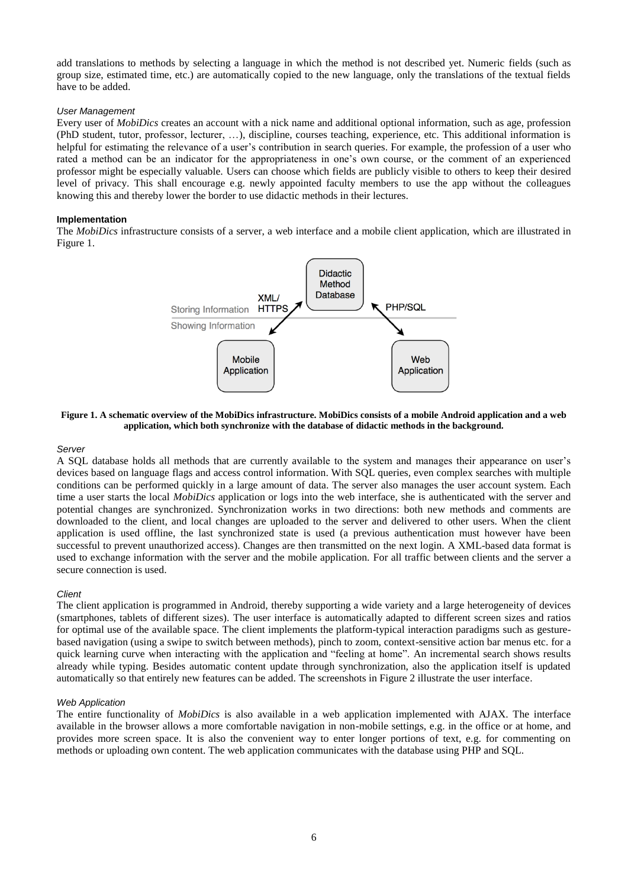add translations to methods by selecting a language in which the method is not described yet. Numeric fields (such as group size, estimated time, etc.) are automatically copied to the new language, only the translations of the textual fields have to be added.

## *User Management*

Every user of *MobiDics* creates an account with a nick name and additional optional information, such as age, profession (PhD student, tutor, professor, lecturer, …), discipline, courses teaching, experience, etc. This additional information is helpful for estimating the relevance of a user's contribution in search queries. For example, the profession of a user who rated a method can be an indicator for the appropriateness in one's own course, or the comment of an experienced professor might be especially valuable. Users can choose which fields are publicly visible to others to keep their desired level of privacy. This shall encourage e.g. newly appointed faculty members to use the app without the colleagues knowing this and thereby lower the border to use didactic methods in their lectures.

## **Implementation**

The *MobiDics* infrastructure consists of a server, a web interface and a mobile client application, which are illustrated in Figure 1.



## **Figure 1. A schematic overview of the MobiDics infrastructure. MobiDics consists of a mobile Android application and a web application, which both synchronize with the database of didactic methods in the background.**

## *Server*

A SQL database holds all methods that are currently available to the system and manages their appearance on user's devices based on language flags and access control information. With SQL queries, even complex searches with multiple conditions can be performed quickly in a large amount of data. The server also manages the user account system. Each time a user starts the local *MobiDics* application or logs into the web interface, she is authenticated with the server and potential changes are synchronized. Synchronization works in two directions: both new methods and comments are downloaded to the client, and local changes are uploaded to the server and delivered to other users. When the client application is used offline, the last synchronized state is used (a previous authentication must however have been successful to prevent unauthorized access). Changes are then transmitted on the next login. A XML-based data format is used to exchange information with the server and the mobile application. For all traffic between clients and the server a secure connection is used.

#### *Client*

The client application is programmed in Android, thereby supporting a wide variety and a large heterogeneity of devices (smartphones, tablets of different sizes). The user interface is automatically adapted to different screen sizes and ratios for optimal use of the available space. The client implements the platform-typical interaction paradigms such as gesturebased navigation (using a swipe to switch between methods), pinch to zoom, context-sensitive action bar menus etc. for a quick learning curve when interacting with the application and "feeling at home". An incremental search shows results already while typing. Besides automatic content update through synchronization, also the application itself is updated automatically so that entirely new features can be added. The screenshots in Figure 2 illustrate the user interface.

#### *Web Application*

The entire functionality of *MobiDics* is also available in a web application implemented with AJAX. The interface available in the browser allows a more comfortable navigation in non-mobile settings, e.g. in the office or at home, and provides more screen space. It is also the convenient way to enter longer portions of text, e.g. for commenting on methods or uploading own content. The web application communicates with the database using PHP and SQL.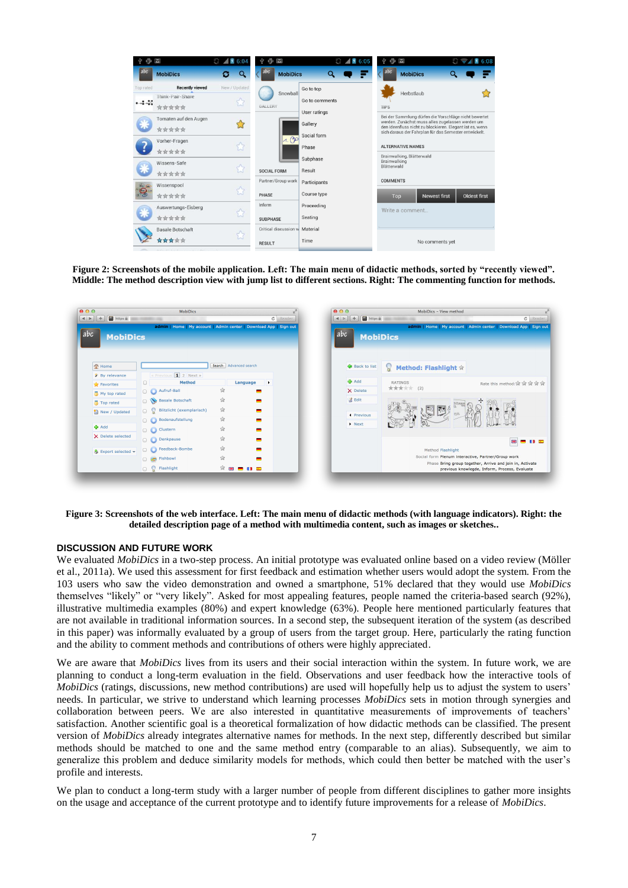|           |                         | L)<br>$\blacksquare$ 6:04 |                                | Ľ)             | $\parallel$ 1 6:05 |                                                                                                                   | Σ                         |                                                                                                           |                     |  |  |
|-----------|-------------------------|---------------------------|--------------------------------|----------------|--------------------|-------------------------------------------------------------------------------------------------------------------|---------------------------|-----------------------------------------------------------------------------------------------------------|---------------------|--|--|
| abc       | <b>MobiDics</b>         | O<br>s                    | abc<br><b>MobiDics</b>         | Q              |                    | abc                                                                                                               | <b>MobiDics</b>           |                                                                                                           |                     |  |  |
| Top rated | <b>Recently viewed</b>  | New / Updated             | Snowball                       | Go to top      |                    |                                                                                                                   | Herbstlaub                |                                                                                                           |                     |  |  |
| $-1 - 1$  | Think-Pair-Share        | ☆                         |                                | Go to comments |                    |                                                                                                                   |                           |                                                                                                           |                     |  |  |
|           | ☆☆☆☆☆                   |                           | GALLERY                        | User ratings   |                    | <b>TIPS</b>                                                                                                       |                           |                                                                                                           |                     |  |  |
|           | Tomaten auf den Augen   | ☆                         |                                | Gallery        |                    |                                                                                                                   |                           | Bei der Sammlung dürfen die Vorschläge nicht bewertet<br>werden. Zunächst muss alles zugelassen werden um |                     |  |  |
|           | ☆☆☆☆☆                   |                           |                                | Social form    |                    | den Ideenfluss nicht zu blockieren. Elegant ist es, wenn<br>sich daraus der Fahrplan für das Semester entwickelt. |                           |                                                                                                           |                     |  |  |
|           | Vorher-Fragen           | ☆                         | 1.09                           | Phase          |                    |                                                                                                                   | <b>ALTERNATIVE NAMES</b>  |                                                                                                           |                     |  |  |
|           | 女女女女女                   |                           |                                |                |                    |                                                                                                                   | Brainwalking, Blätterwald |                                                                                                           |                     |  |  |
|           | Wissens-Safe            | ☆                         |                                | Subphase       |                    | Brainwalking<br>Blätterwald                                                                                       |                           |                                                                                                           |                     |  |  |
|           | 女女女女女                   |                           | <b>SOCIAL FORM</b>             | Result         |                    |                                                                                                                   |                           |                                                                                                           |                     |  |  |
|           | Wissenspool             |                           | Partner/Group work             | Participants   |                    | <b>COMMENTS</b>                                                                                                   |                           |                                                                                                           |                     |  |  |
|           | 古古古古古                   | ☆                         | <b>PHASE</b>                   | Course type    |                    | Top                                                                                                               |                           | <b>Newest first</b>                                                                                       | <b>Oldest first</b> |  |  |
|           | Auswertungs-Eisberg     |                           | Inform                         | Proceeding     |                    | Write a comment                                                                                                   |                           |                                                                                                           |                     |  |  |
|           | *****                   | ☆                         | <b>SUBPHASE</b>                | Seating        |                    |                                                                                                                   |                           |                                                                                                           |                     |  |  |
|           | <b>Basale Botschaft</b> |                           | Critical discussion w Material |                |                    |                                                                                                                   |                           |                                                                                                           |                     |  |  |
|           | ☆☆☆☆☆                   | ☆                         | <b>RESULT</b>                  | Time           |                    | No comments yet                                                                                                   |                           |                                                                                                           |                     |  |  |

**Figure 2: Screenshots of the mobile application. Left: The main menu of didactic methods, sorted by "recently viewed". Middle: The method description view with jump list to different sections. Right: The commenting function for methods.**



**Figure 3: Screenshots of the web interface. Left: The main menu of didactic methods (with language indicators). Right: the detailed description page of a method with multimedia content, such as images or sketches..**

#### **DISCUSSION AND FUTURE WORK**

We evaluated *MobiDics* in a two-step process. An initial prototype was evaluated online based on a video review (Möller et al., 2011a). We used this assessment for first feedback and estimation whether users would adopt the system. From the 103 users who saw the video demonstration and owned a smartphone, 51% declared that they would use *MobiDics* themselves "likely" or "very likely". Asked for most appealing features, people named the criteria-based search (92%), illustrative multimedia examples (80%) and expert knowledge (63%). People here mentioned particularly features that are not available in traditional information sources. In a second step, the subsequent iteration of the system (as described in this paper) was informally evaluated by a group of users from the target group. Here, particularly the rating function and the ability to comment methods and contributions of others were highly appreciated.

We are aware that *MobiDics* lives from its users and their social interaction within the system. In future work, we are planning to conduct a long-term evaluation in the field. Observations and user feedback how the interactive tools of *MobiDics* (ratings, discussions, new method contributions) are used will hopefully help us to adjust the system to users' needs. In particular, we strive to understand which learning processes *MobiDics* sets in motion through synergies and collaboration between peers. We are also interested in quantitative measurements of improvements of teachers' satisfaction. Another scientific goal is a theoretical formalization of how didactic methods can be classified. The present version of *MobiDics* already integrates alternative names for methods. In the next step, differently described but similar methods should be matched to one and the same method entry (comparable to an alias). Subsequently, we aim to generalize this problem and deduce similarity models for methods, which could then better be matched with the user's profile and interests.

We plan to conduct a long-term study with a larger number of people from different disciplines to gather more insights on the usage and acceptance of the current prototype and to identify future improvements for a release of *MobiDics*.